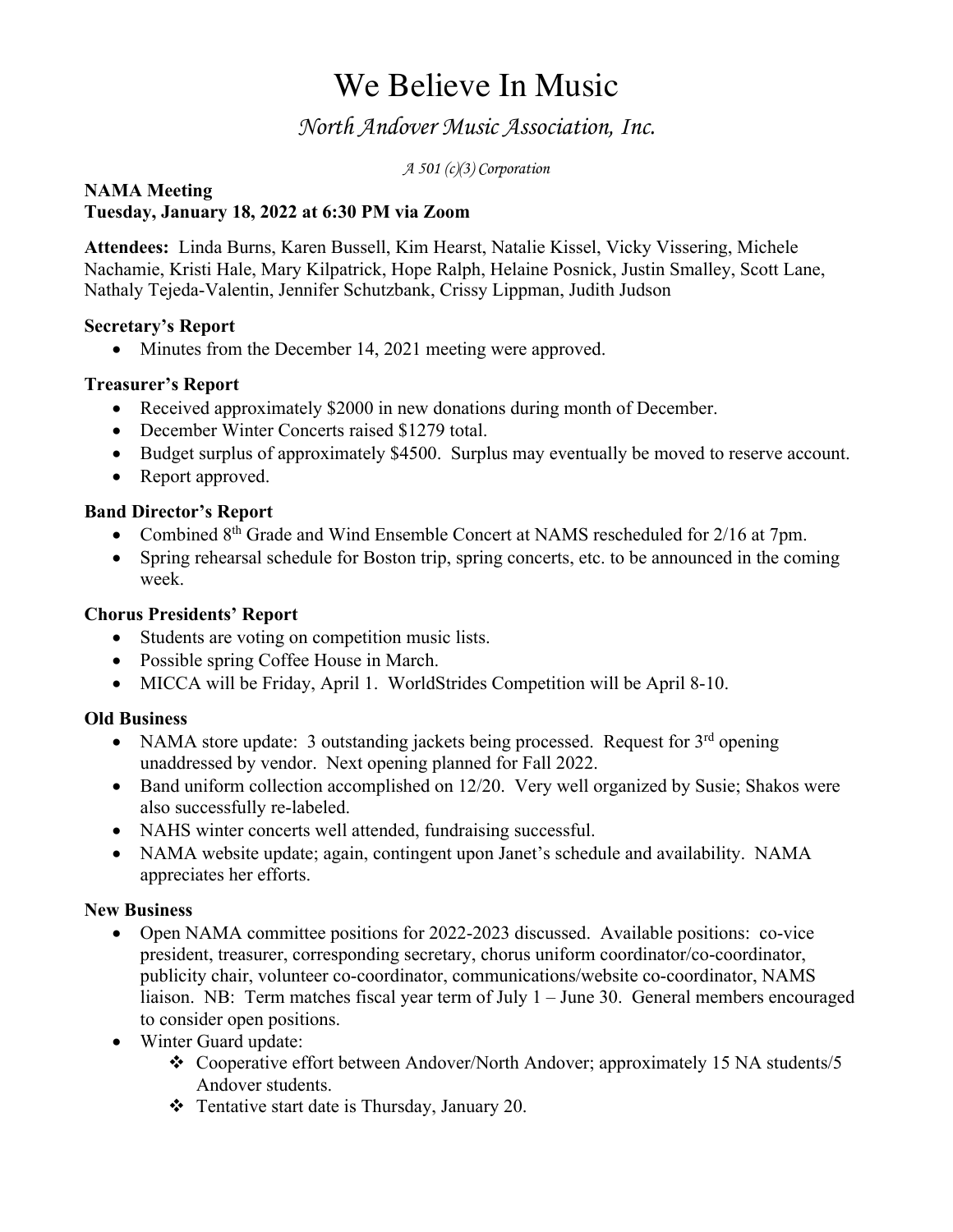# We Believe In Music

## *North Andover Music Association, Inc.*

*A 501 (c)(3) Corporation*

#### **NAMA Meeting Tuesday, January 18, 2022 at 6:30 PM via Zoom**

**Attendees:** Linda Burns, Karen Bussell, Kim Hearst, Natalie Kissel, Vicky Vissering, Michele Nachamie, Kristi Hale, Mary Kilpatrick, Hope Ralph, Helaine Posnick, Justin Smalley, Scott Lane, Nathaly Tejeda-Valentin, Jennifer Schutzbank, Crissy Lippman, Judith Judson

### **Secretary's Report**

• Minutes from the December 14, 2021 meeting were approved.

### **Treasurer's Report**

- Received approximately \$2000 in new donations during month of December.
- December Winter Concerts raised \$1279 total.
- Budget surplus of approximately \$4500. Surplus may eventually be moved to reserve account.
- Report approved.

### **Band Director's Report**

- Combined 8<sup>th</sup> Grade and Wind Ensemble Concert at NAMS rescheduled for 2/16 at 7pm.
- Spring rehearsal schedule for Boston trip, spring concerts, etc. to be announced in the coming week.

#### **Chorus Presidents' Report**

- Students are voting on competition music lists.
- Possible spring Coffee House in March.
- MICCA will be Friday, April 1. WorldStrides Competition will be April 8-10.

#### **Old Business**

- NAMA store update: 3 outstanding jackets being processed. Request for  $3<sup>rd</sup>$  opening unaddressed by vendor. Next opening planned for Fall 2022.
- Band uniform collection accomplished on 12/20. Very well organized by Susie; Shakos were also successfully re-labeled.
- NAHS winter concerts well attended, fundraising successful.
- NAMA website update; again, contingent upon Janet's schedule and availability. NAMA appreciates her efforts.

#### **New Business**

- Open NAMA committee positions for 2022-2023 discussed. Available positions: co-vice president, treasurer, corresponding secretary, chorus uniform coordinator/co-coordinator, publicity chair, volunteer co-coordinator, communications/website co-coordinator, NAMS liaison. NB: Term matches fiscal year term of July 1 – June 30. General members encouraged to consider open positions.
- Winter Guard update:
	- \* Cooperative effort between Andover/North Andover; approximately 15 NA students/5 Andover students.
	- $\div$  Tentative start date is Thursday, January 20.